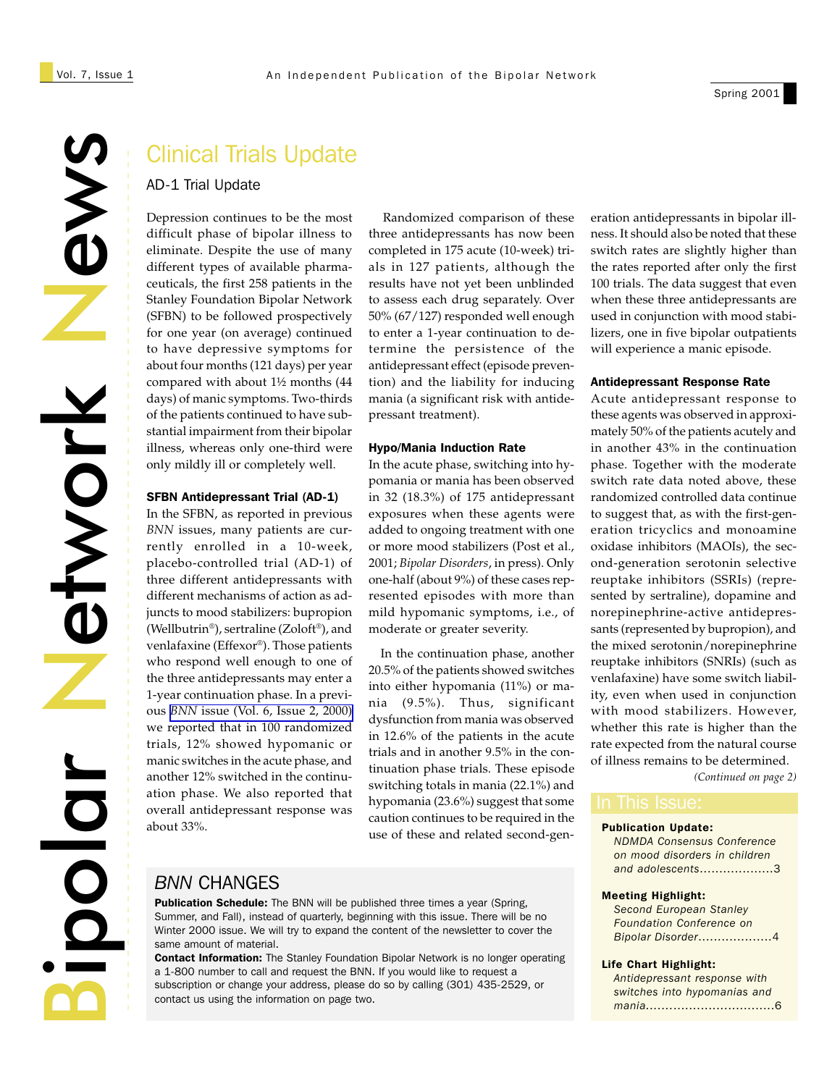# NewsNetwork etwork a<br>Bipolar

# Clinical Trials Update

### AD-1 Trial Update

Depression continues to be the most difficult phase of bipolar illness to eliminate. Despite the use of many different types of available pharmaceuticals, the first 258 patients in the Stanley Foundation Bipolar Network (SFBN) to be followed prospectively for one year (on average) continued to have depressive symptoms for about four months (121 days) per year compared with about 1½ months (44 days) of manic symptoms. Two-thirds of the patients continued to have substantial impairment from their bipolar illness, whereas only one-third were only mildly ill or completely well.

### SFBN Antidepressant Trial (AD-1)

In the SFBN, as reported in previous *BNN* issues, many patients are currently enrolled in a 10-week, placebo-controlled trial (AD-1) of three different antidepressants with different mechanisms of action as adjuncts to mood stabilizers: bupropion (Wellbutrin®), sertraline (Zoloft®), and venlafaxine (Effexor®). Those patients who respond well enough to one of the three antidepressants may enter a 1-year continuation phase. In a previous *BNN* [issue \(Vol. 6, Issue 2, 2000\)](http://www.bipolarnetwork.org/new_site/BNN/pdfs/bnnvol6iss2.pdf) we reported that in 100 randomized trials, 12% showed hypomanic or manic switches in the acute phase, and another 12% switched in the continuation phase. We also reported that overall antidepressant response was about 33%.

 Randomized comparison of these three antidepressants has now been completed in 175 acute (10-week) trials in 127 patients, although the results have not yet been unblinded to assess each drug separately. Over 50% (67/127) responded well enough to enter a 1-year continuation to determine the persistence of the antidepressant effect (episode prevention) and the liability for inducing mania (a significant risk with antidepressant treatment).

### Hypo/Mania Induction Rate

In the acute phase, switching into hypomania or mania has been observed in 32 (18.3%) of 175 antidepressant exposures when these agents were added to ongoing treatment with one or more mood stabilizers (Post et al., 2001; *Bipolar Disorders*, in press). Only one-half (about 9%) of these cases represented episodes with more than mild hypomanic symptoms, i.e., of moderate or greater severity.

 In the continuation phase, another 20.5% of the patients showed switches into either hypomania (11%) or mania (9.5%). Thus, significant dysfunction from mania was observed in 12.6% of the patients in the acute trials and in another 9.5% in the continuation phase trials. These episode switching totals in mania (22.1%) and hypomania (23.6%) suggest that some caution continues to be required in the use of these and related second-gen-

*BNN* CHANGES

Publication Schedule: The BNN will be published three times a year (Spring, Summer, and Fall), instead of quarterly, beginning with this issue. There will be no Winter 2000 issue. We will try to expand the content of the newsletter to cover the same amount of material.

**Contact Information:** The Stanley Foundation Bipolar Network is no longer operating a 1-800 number to call and request the BNN. If you would like to request a subscription or change your address, please do so by calling (301) 435-2529, or contact us using the information on page two.

eration antidepressants in bipolar illness. It should also be noted that these switch rates are slightly higher than the rates reported after only the first 100 trials. The data suggest that even when these three antidepressants are used in conjunction with mood stabilizers, one in five bipolar outpatients will experience a manic episode.

### Antidepressant Response Rate

Acute antidepressant response to these agents was observed in approximately 50% of the patients acutely and in another 43% in the continuation phase. Together with the moderate switch rate data noted above, these randomized controlled data continue to suggest that, as with the first-generation tricyclics and monoamine oxidase inhibitors (MAOIs), the second-generation serotonin selective reuptake inhibitors (SSRIs) (represented by sertraline), dopamine and norepinephrine-active antidepressants (represented by bupropion), and the mixed serotonin/norepinephrine reuptake inhibitors (SNRIs) (such as venlafaxine) have some switch liability, even when used in conjunction with mood stabilizers. However, whether this rate is higher than the rate expected from the natural course of illness remains to be determined.

*(Continued on page 2)*

### Publication Update:

*NDMDA Consensus Conference on mood disorders in children and adolescents*...................3

### Meeting Highlight:

| <b>Second European Stanley</b>  |
|---------------------------------|
| <b>Foundation Conference on</b> |
| Bipolar Disorder4               |

### Life Chart Highlight:

*Antidepressant response with switches into hypomanias and mania.......*..........................6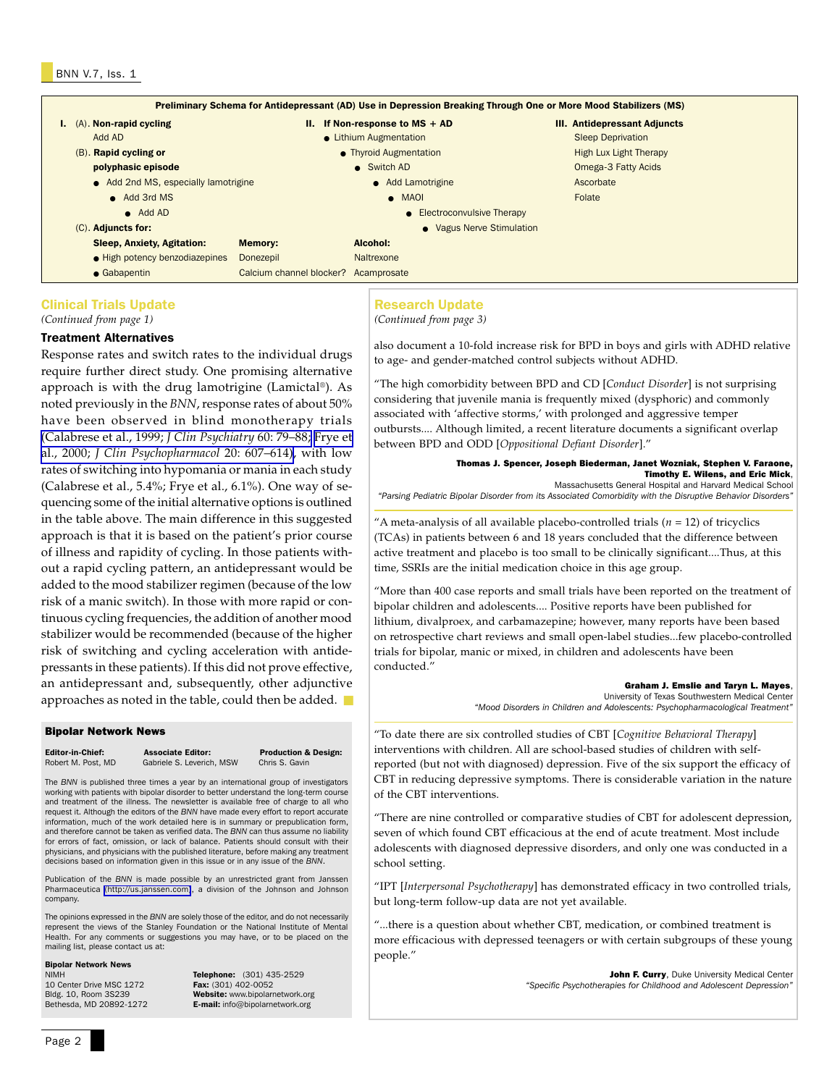|                                                                            |                                   |                          |                              | Preliminary Schema for Antidepressant (AD) Use in Depression Breaking Through One or More Mood Stabilizers (MS) |
|----------------------------------------------------------------------------|-----------------------------------|--------------------------|------------------------------|-----------------------------------------------------------------------------------------------------------------|
| $I.$ (A). Non-rapid cycling                                                |                                   | н.                       | If Non-response to $MS + AD$ | <b>III. Antidepressant Adjuncts</b>                                                                             |
|                                                                            | Add AD                            |                          | • Lithium Augmentation       | <b>Sleep Deprivation</b>                                                                                        |
|                                                                            | (B). Rapid cycling or             | • Thyroid Augmentation   |                              | <b>High Lux Light Therapy</b>                                                                                   |
| polyphasic episode<br>• Add 2nd MS, especially lamotrigine<br>• Add 3rd MS |                                   |                          | • Switch AD                  | Omega-3 Fatty Acids                                                                                             |
|                                                                            |                                   |                          | • Add Lamotrigine            | Ascorbate                                                                                                       |
|                                                                            |                                   |                          | $\bullet$ MAOI               | Folate                                                                                                          |
|                                                                            | $\bullet$ Add AD                  |                          | • Electroconvulsive Therapy  |                                                                                                                 |
| $(C)$ . Adjuncts for:                                                      |                                   |                          | • Vagus Nerve Stimulation    |                                                                                                                 |
|                                                                            | <b>Sleep, Anxiety, Agitation:</b> | <b>Memory:</b>           | Alcohol:                     |                                                                                                                 |
|                                                                            | • High potency benzodiazepines    | Donezepil                | Naltrexone                   |                                                                                                                 |
|                                                                            | • Gabapentin                      | Calcium channel blocker? | Acamprosate                  |                                                                                                                 |

### Clinical Trials Update

*(Continued from page 1)*

### Treatment Alternatives

Response rates and switch rates to the individual drugs require further direct study. One promising alternative approach is with the drug lamotrigine (Lamictal®). As noted previously in the *BNN*, response rates of about 50% have been observed in blind monotherapy trials [\(Calabrese et al., 1999;](http://www.ncbi.nlm.nih.gov/entrez/query.fcgi?cmd=Retrieve&db=PubMed&list_uids=10084633&dopt=Abstract) *J Clin Psychiatry* 60: 79–88; [Frye et](http://www.ncbi.nlm.nih.gov/entrez/query.fcgi?cmd=Retrieve&db=PubMed&list_uids=11106131&dopt=Abstract) al., 2000; *[J Clin Psychopharmacol](http://www.ncbi.nlm.nih.gov/entrez/query.fcgi?cmd=Retrieve&db=PubMed&list_uids=11106131&dopt=Abstract)* 20: 607–614), with low rates of switching into hypomania or mania in each study (Calabrese et al., 5.4%; Frye et al., 6.1%). One way of sequencing some of the initial alternative options is outlined in the table above. The main difference in this suggested approach is that it is based on the patient's prior course of illness and rapidity of cycling. In those patients without a rapid cycling pattern, an antidepressant would be added to the mood stabilizer regimen (because of the low risk of a manic switch). In those with more rapid or continuous cycling frequencies, the addition of another mood stabilizer would be recommended (because of the higher risk of switching and cycling acceleration with antidepressants in these patients). If this did not prove effective, an antidepressant and, subsequently, other adjunctive approaches as noted in the table, could then be added. ■

### Bipolar Network News

**Editor-in-Chief:** Associate Editor: Production & Design:<br>
Robert M. Post. MD Gabriele S. Leverich, MSW Chris S. Gavin Gabriele S. Leverich, MSW

The *BNN* is published three times a year by an international group of investigators working with patients with bipolar disorder to better understand the long-term course and treatment of the illness. The newsletter is available free of charge to all who request it. Although the editors of the *BNN* have made every effort to report accurate information, much of the work detailed here is in summary or prepublication form, and therefore cannot be taken as verified data. The *BNN* can thus assume no liability for errors of fact, omission, or lack of balance. Patients should consult with their physicians, and physicians with the published literature, before making any treatment decisions based on information given in this issue or in any issue of the *BNN*.

Publication of the *BNN* is made possible by an unrestricted grant from Janssen Pharmaceutica [\(http://us.janssen.com\)](http://us.janssen.com/), a division of the Johnson and Johnson company.

The opinions expressed in the *BNN* are solely those of the editor, and do not necessarily represent the views of the Stanley Foundation or the National Institute of Mental Health. For any comments or suggestions you may have, or to be placed on the mailing list, please contact us at:

### Bipolar Network News

10 Center Drive MSC 1272<br>Bldg. 10, Room 3S239

NIMH **Telephone:** (301) 435-2529<br>10 Center Drive MSC 1272 **Fax:** (301) 402-0052 Bldg. 10, Room 3S239 **Website:** www.bipolarnetwork.org<br>Bethesda, MD 20892-1272 **E-mail:** info@bipolarnetwork.org E-mail: info@bipolarnetwork.org

### Research Update

*(Continued from page 3)*

also document a 10-fold increase risk for BPD in boys and girls with ADHD relative to age- and gender-matched control subjects without ADHD.

"The high comorbidity between BPD and CD [*Conduct Disorder*] is not surprising considering that juvenile mania is frequently mixed (dysphoric) and commonly associated with 'affective storms,' with prolonged and aggressive temper outbursts.... Although limited, a recent literature documents a significant overlap between BPD and ODD [*Oppositional Defiant Disorder*]."

> Thomas J. Spencer, Joseph Biederman, Janet Wozniak, Stephen V. Faraone, Timothy E. Wilens, and Eric Mick, Massachusetts General Hospital and Harvard Medical School

*"Parsing Pediatric Bipolar Disorder from its Associated Comorbidity with the Disruptive Behavior Disorders"*

"A meta-analysis of all available placebo-controlled trials  $(n = 12)$  of tricyclics (TCAs) in patients between 6 and 18 years concluded that the difference between active treatment and placebo is too small to be clinically significant....Thus, at this time, SSRIs are the initial medication choice in this age group.

"More than 400 case reports and small trials have been reported on the treatment of bipolar children and adolescents.... Positive reports have been published for lithium, divalproex, and carbamazepine; however, many reports have been based on retrospective chart reviews and small open-label studies...few placebo-controlled trials for bipolar, manic or mixed, in children and adolescents have been conducted."

### Graham J. Emslie and Taryn L. Mayes,

University of Texas Southwestern Medical Center *"Mood Disorders in Children and Adolescents: Psychopharmacological Treatment"*

"To date there are six controlled studies of CBT [*Cognitive Behavioral Therapy*] interventions with children. All are school-based studies of children with selfreported (but not with diagnosed) depression. Five of the six support the efficacy of CBT in reducing depressive symptoms. There is considerable variation in the nature of the CBT interventions.

"There are nine controlled or comparative studies of CBT for adolescent depression, seven of which found CBT efficacious at the end of acute treatment. Most include adolescents with diagnosed depressive disorders, and only one was conducted in a school setting.

"IPT [*Interpersonal Psychotherapy*] has demonstrated efficacy in two controlled trials, but long-term follow-up data are not yet available.

"...there is a question about whether CBT, medication, or combined treatment is more efficacious with depressed teenagers or with certain subgroups of these young people."

> John F. Curry, Duke University Medical Center *"Specific Psychotherapies for Childhood and Adolescent Depression"*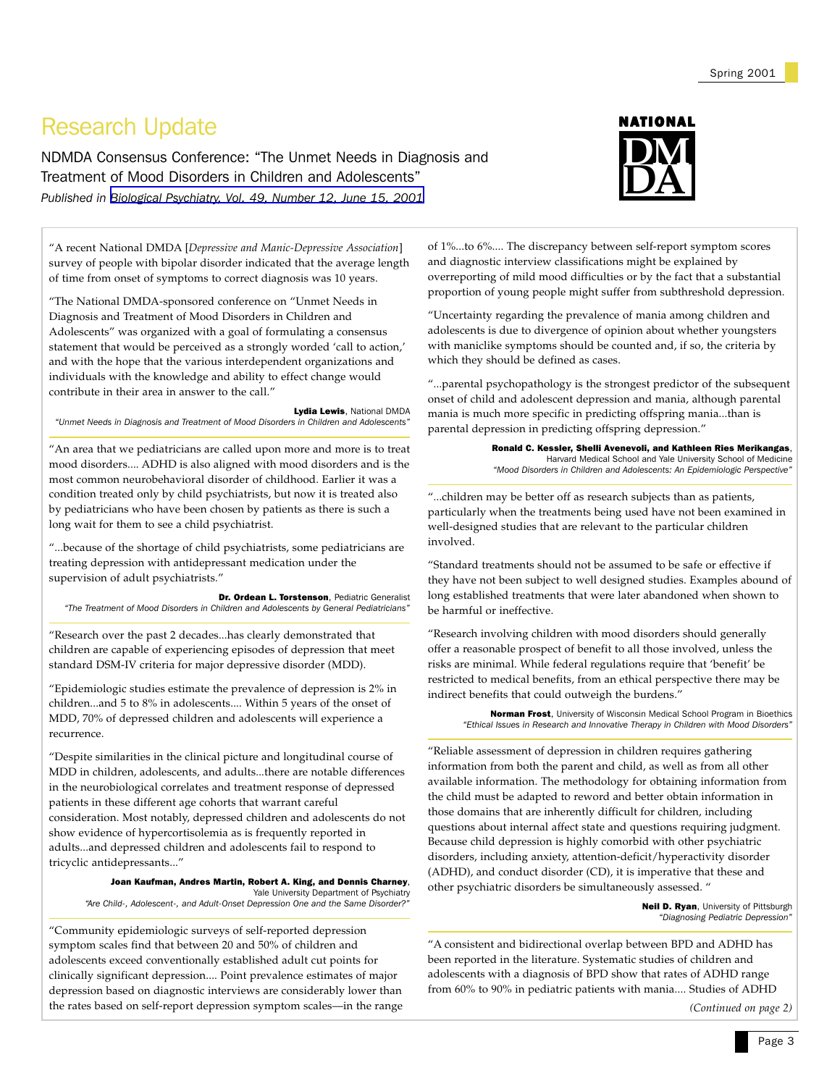# Research Update

NDMDA Consensus Conference: "The Unmet Needs in Diagnosis and Treatment of Mood Disorders in Children and Adolescents" *Published in [Biological Psychiatry, Vol. 49, Number 12, June 15, 2001](http://www.sobp.org/)*

"A recent National DMDA [*Depressive and Manic-Depressive Association*] survey of people with bipolar disorder indicated that the average length of time from onset of symptoms to correct diagnosis was 10 years.

"The National DMDA-sponsored conference on "Unmet Needs in Diagnosis and Treatment of Mood Disorders in Children and Adolescents" was organized with a goal of formulating a consensus statement that would be perceived as a strongly worded 'call to action,' and with the hope that the various interdependent organizations and individuals with the knowledge and ability to effect change would contribute in their area in answer to the call."

Lydia Lewis, National DMDA *"Unmet Needs in Diagnosis and Treatment of Mood Disorders in Children and Adolescents"*

"An area that we pediatricians are called upon more and more is to treat mood disorders.... ADHD is also aligned with mood disorders and is the most common neurobehavioral disorder of childhood. Earlier it was a condition treated only by child psychiatrists, but now it is treated also by pediatricians who have been chosen by patients as there is such a long wait for them to see a child psychiatrist.

"...because of the shortage of child psychiatrists, some pediatricians are treating depression with antidepressant medication under the supervision of adult psychiatrists."

Dr. Ordean L. Torstenson, Pediatric Generalist *"The Treatment of Mood Disorders in Children and Adolescents by General Pediatricians"*

"Research over the past 2 decades...has clearly demonstrated that children are capable of experiencing episodes of depression that meet standard DSM-IV criteria for major depressive disorder (MDD).

"Epidemiologic studies estimate the prevalence of depression is 2% in children...and 5 to 8% in adolescents.... Within 5 years of the onset of MDD, 70% of depressed children and adolescents will experience a recurrence.

"Despite similarities in the clinical picture and longitudinal course of MDD in children, adolescents, and adults...there are notable differences in the neurobiological correlates and treatment response of depressed patients in these different age cohorts that warrant careful consideration. Most notably, depressed children and adolescents do not show evidence of hypercortisolemia as is frequently reported in adults...and depressed children and adolescents fail to respond to tricyclic antidepressants..."

Joan Kaufman, Andres Martin, Robert A. King, and Dennis Charney, Yale University Department of Psychiatry *"Are Child-, Adolescent-, and Adult-Onset Depression One and the Same Disorder?"*

"Community epidemiologic surveys of self-reported depression symptom scales find that between 20 and 50% of children and adolescents exceed conventionally established adult cut points for clinically significant depression.... Point prevalence estimates of major depression based on diagnostic interviews are considerably lower than the rates based on self-report depression symptom scales—in the range



of 1%...to 6%.... The discrepancy between self-report symptom scores and diagnostic interview classifications might be explained by overreporting of mild mood difficulties or by the fact that a substantial proportion of young people might suffer from subthreshold depression.

"Uncertainty regarding the prevalence of mania among children and adolescents is due to divergence of opinion about whether youngsters with maniclike symptoms should be counted and, if so, the criteria by which they should be defined as cases.

"...parental psychopathology is the strongest predictor of the subsequent onset of child and adolescent depression and mania, although parental mania is much more specific in predicting offspring mania...than is parental depression in predicting offspring depression."

> Ronald C. Kessler, Shelli Avenevoli, and Kathleen Ries Merikangas, Harvard Medical School and Yale University School of Medicine *"Mood Disorders in Children and Adolescents: An Epidemiologic Perspective"*

"...children may be better off as research subjects than as patients, particularly when the treatments being used have not been examined in well-designed studies that are relevant to the particular children involved.

"Standard treatments should not be assumed to be safe or effective if they have not been subject to well designed studies. Examples abound of long established treatments that were later abandoned when shown to be harmful or ineffective.

"Research involving children with mood disorders should generally offer a reasonable prospect of benefit to all those involved, unless the risks are minimal. While federal regulations require that 'benefit' be restricted to medical benefits, from an ethical perspective there may be indirect benefits that could outweigh the burdens."

> Norman Frost, University of Wisconsin Medical School Program in Bioethics *"Ethical Issues in Research and Innovative Therapy in Children with Mood Disorders"*

"Reliable assessment of depression in children requires gathering information from both the parent and child, as well as from all other available information. The methodology for obtaining information from the child must be adapted to reword and better obtain information in those domains that are inherently difficult for children, including questions about internal affect state and questions requiring judgment. Because child depression is highly comorbid with other psychiatric disorders, including anxiety, attention-deficit/hyperactivity disorder (ADHD), and conduct disorder (CD), it is imperative that these and other psychiatric disorders be simultaneously assessed. "

> **Neil D. Ryan**, University of Pittsburgh *"Diagnosing Pediatric Depression"*

"A consistent and bidirectional overlap between BPD and ADHD has been reported in the literature. Systematic studies of children and adolescents with a diagnosis of BPD show that rates of ADHD range from 60% to 90% in pediatric patients with mania.... Studies of ADHD

*(Continued on page 2)*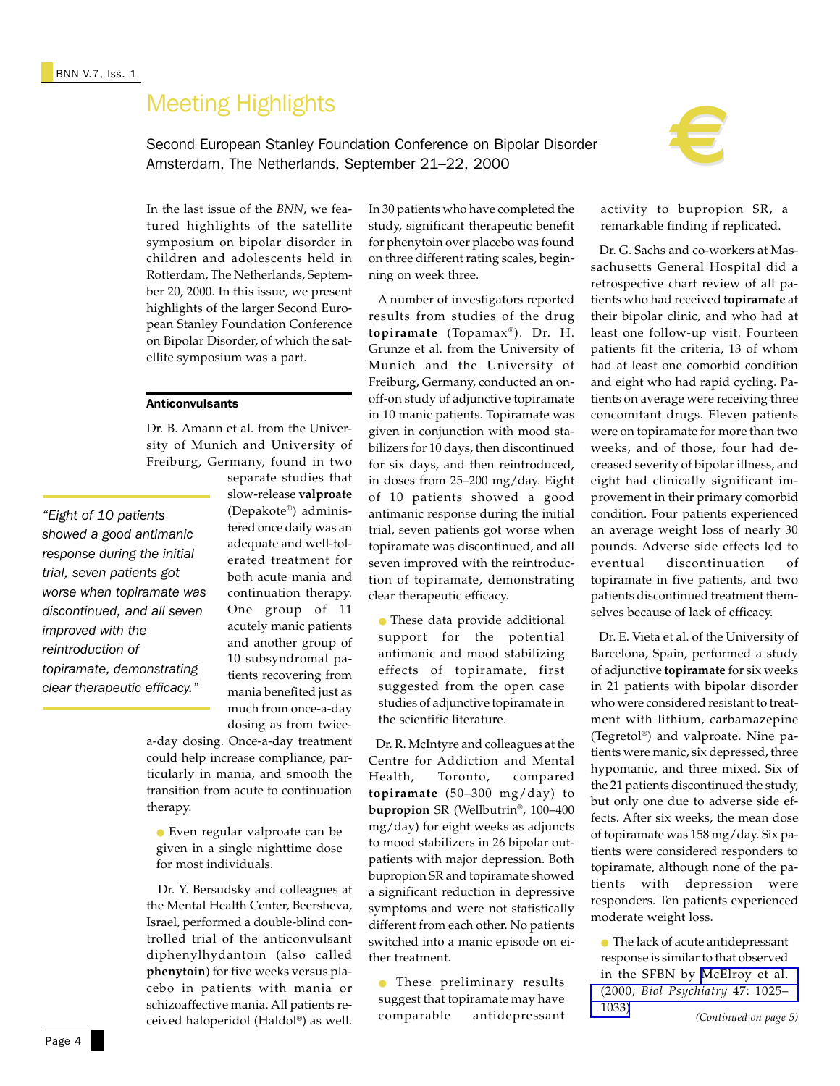Second European Stanley Foundation Conference on Bipolar Disorder Amsterdam, The Netherlands, September 21–22, 2000



In the last issue of the *BNN*, we featured highlights of the satellite symposium on bipolar disorder in children and adolescents held in Rotterdam, The Netherlands, September 20, 2000. In this issue, we present highlights of the larger Second European Stanley Foundation Conference on Bipolar Disorder, of which the satellite symposium was a part.

### Anticonvulsants

Dr. B. Amann et al. from the University of Munich and University of Freiburg, Germany, found in two

*"Eight of 10 patients showed a good antimanic response during the initial trial, seven patients got worse when topiramate was discontinued, and all seven improved with the reintroduction of topiramate, demonstrating clear therapeutic efficacy."*

separate studies that slow-release **valproate** (Depakote®) administered once daily was an adequate and well-tolerated treatment for both acute mania and continuation therapy. One group of 11 acutely manic patients and another group of 10 subsyndromal patients recovering from mania benefited just as much from once-a-day dosing as from twice-

a-day dosing. Once-a-day treatment could help increase compliance, particularly in mania, and smooth the transition from acute to continuation therapy.

● Even regular valproate can be given in a single nighttime dose for most individuals.

 Dr. Y. Bersudsky and colleagues at the Mental Health Center, Beersheva, Israel, performed a double-blind controlled trial of the anticonvulsant diphenylhydantoin (also called **phenytoin**) for five weeks versus placebo in patients with mania or schizoaffective mania. All patients received haloperidol (Haldol®) as well.

In 30 patients who have completed the study, significant therapeutic benefit for phenytoin over placebo was found on three different rating scales, beginning on week three.

 A number of investigators reported results from studies of the drug **topiramate** (Topamax ®). Dr. H. Grunze et al. from the University of Munich and the University of Freiburg, Germany, conducted an onoff-on study of adjunctive topiramate in 10 manic patients. Topiramate was given in conjunction with mood stabilizers for 10 days, then discontinued for six days, and then reintroduced, in doses from 25–200 mg/day. Eight of 10 patients showed a good antimanic response during the initial trial, seven patients got worse when topiramate was discontinued, and all seven improved with the reintroduction of topiramate, demonstrating clear therapeutic efficacy.

● These data provide additional support for the potential antimanic and mood stabilizing effects of topiramate, first suggested from the open case studies of adjunctive topiramate in the scientific literature.

 Dr. R. McIntyre and colleagues at the Centre for Addiction and Mental Health, Toronto, compared **topiramate** (50–300 mg/day) to **bupropion** SR (Wellbutrin®, 100–400 mg/day) for eight weeks as adjuncts to mood stabilizers in 26 bipolar outpatients with major depression. Both bupropion SR and topiramate showed a significant reduction in depressive symptoms and were not statistically different from each other. No patients switched into a manic episode on either treatment.

These preliminary results suggest that topiramate may have comparable antidepressant activity to bupropion SR, a remarkable finding if replicated.

 Dr. G. Sachs and co-workers at Massachusetts General Hospital did a retrospective chart review of all patients who had received **topiramate** at their bipolar clinic, and who had at least one follow-up visit. Fourteen patients fit the criteria, 13 of whom had at least one comorbid condition and eight who had rapid cycling. Patients on average were receiving three concomitant drugs. Eleven patients were on topiramate for more than two weeks, and of those, four had decreased severity of bipolar illness, and eight had clinically significant improvement in their primary comorbid condition. Four patients experienced an average weight loss of nearly 30 pounds. Adverse side effects led to eventual discontinuation of topiramate in five patients, and two patients discontinued treatment themselves because of lack of efficacy.

 Dr. E. Vieta et al. of the University of Barcelona, Spain, performed a study of adjunctive **topiramate** for six weeks in 21 patients with bipolar disorder who were considered resistant to treatment with lithium, carbamazepine (Tegretol®) and valproate. Nine patients were manic, six depressed, three hypomanic, and three mixed. Six of the 21 patients discontinued the study, but only one due to adverse side effects. After six weeks, the mean dose of topiramate was 158 mg/day. Six patients were considered responders to topiramate, although none of the patients with depression were responders. Ten patients experienced moderate weight loss.

● The lack of acute antidepressant response is similar to that observed in the SFBN by [McElroy et al.](http://www.ncbi.nlm.nih.gov/entrez/query.fcgi?cmd=Retrieve&db=PubMed&list_uids=10862801&dopt=Abstract) (2000*[; Biol Psychiatry](http://www.ncbi.nlm.nih.gov/entrez/query.fcgi?cmd=Retrieve&db=PubMed&list_uids=10862801&dopt=Abstract)* 47: 1025– [1033\)](http://www.ncbi.nlm.nih.gov/entrez/query.fcgi?cmd=Retrieve&db=PubMed&list_uids=10862801&dopt=Abstract) *(Continued on page 5)*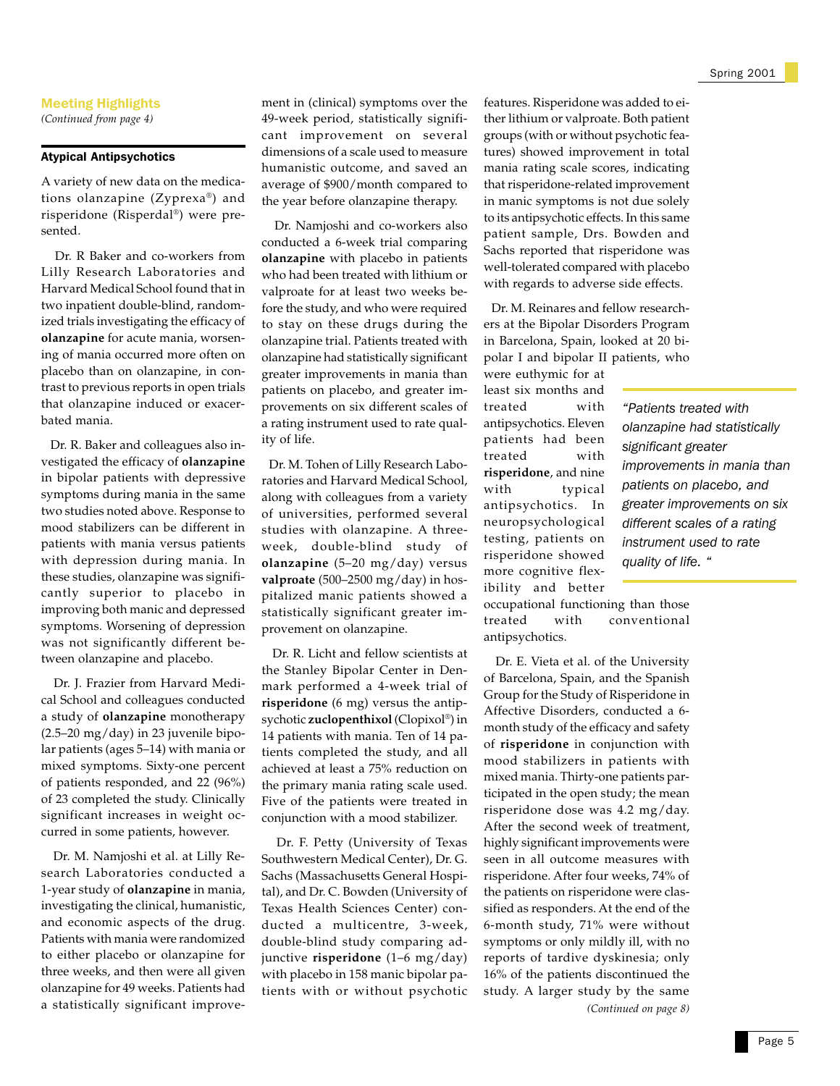*(Continued from page 4)*

### Atypical Antipsychotics

A variety of new data on the medications olanzapine (Zyprexa®) and risperidone (Risperdal®) were presented.

 Dr. R Baker and co-workers from Lilly Research Laboratories and Harvard Medical School found that in two inpatient double-blind, randomized trials investigating the efficacy of **olanzapine** for acute mania, worsening of mania occurred more often on placebo than on olanzapine, in contrast to previous reports in open trials that olanzapine induced or exacerbated mania.

 Dr. R. Baker and colleagues also investigated the efficacy of **olanzapine** in bipolar patients with depressive symptoms during mania in the same two studies noted above. Response to mood stabilizers can be different in patients with mania versus patients with depression during mania. In these studies, olanzapine was significantly superior to placebo in improving both manic and depressed symptoms. Worsening of depression was not significantly different between olanzapine and placebo.

 Dr. J. Frazier from Harvard Medical School and colleagues conducted a study of **olanzapine** monotherapy (2.5–20 mg/day) in 23 juvenile bipolar patients (ages 5–14) with mania or mixed symptoms. Sixty-one percent of patients responded, and 22 (96%) of 23 completed the study. Clinically significant increases in weight occurred in some patients, however.

 Dr. M. Namjoshi et al. at Lilly Research Laboratories conducted a 1-year study of **olanzapine** in mania, investigating the clinical, humanistic, and economic aspects of the drug. Patients with mania were randomized to either placebo or olanzapine for three weeks, and then were all given olanzapine for 49 weeks. Patients had a statistically significant improvement in (clinical) symptoms over the 49-week period, statistically significant improvement on several dimensions of a scale used to measure humanistic outcome, and saved an average of \$900/month compared to the year before olanzapine therapy.

 Dr. Namjoshi and co-workers also conducted a 6-week trial comparing **olanzapine** with placebo in patients who had been treated with lithium or valproate for at least two weeks before the study, and who were required to stay on these drugs during the olanzapine trial. Patients treated with olanzapine had statistically significant greater improvements in mania than patients on placebo, and greater improvements on six different scales of a rating instrument used to rate quality of life.

 Dr. M. Tohen of Lilly Research Laboratories and Harvard Medical School, along with colleagues from a variety of universities, performed several studies with olanzapine. A threeweek, double-blind study of **olanzapine** (5–20 mg/day) versus **valproate** (500–2500 mg/day) in hospitalized manic patients showed a statistically significant greater improvement on olanzapine.

 Dr. R. Licht and fellow scientists at the Stanley Bipolar Center in Denmark performed a 4-week trial of **risperidone** (6 mg) versus the antipsychotic **zuclopenthixol** (Clopixol®) in 14 patients with mania. Ten of 14 patients completed the study, and all achieved at least a 75% reduction on the primary mania rating scale used. Five of the patients were treated in conjunction with a mood stabilizer.

 Dr. F. Petty (University of Texas Southwestern Medical Center), Dr. G. Sachs (Massachusetts General Hospital), and Dr. C. Bowden (University of Texas Health Sciences Center) conducted a multicentre, 3-week, double-blind study comparing adjunctive **risperidone** (1–6 mg/day) with placebo in 158 manic bipolar patients with or without psychotic features. Risperidone was added to either lithium or valproate. Both patient groups (with or without psychotic features) showed improvement in total mania rating scale scores, indicating that risperidone-related improvement in manic symptoms is not due solely to its antipsychotic effects. In this same patient sample, Drs. Bowden and Sachs reported that risperidone was well-tolerated compared with placebo with regards to adverse side effects.

 Dr. M. Reinares and fellow researchers at the Bipolar Disorders Program in Barcelona, Spain, looked at 20 bipolar I and bipolar II patients, who

were euthymic for at least six months and treated with antipsychotics. Eleven patients had been treated with **risperidone**, and nine with typical antipsychotics. In neuropsychological testing, patients on risperidone showed more cognitive flexibility and better

*"Patients treated with olanzapine had statistically significant greater improvements in mania than patients on placebo, and greater improvements on six different scales of a rating instrument used to rate quality of life. "*

occupational functioning than those treated with conventional antipsychotics.

*(Continued on page 8)* Dr. E. Vieta et al. of the University of Barcelona, Spain, and the Spanish Group for the Study of Risperidone in Affective Disorders, conducted a 6 month study of the efficacy and safety of **risperidone** in conjunction with mood stabilizers in patients with mixed mania. Thirty-one patients participated in the open study; the mean risperidone dose was 4.2 mg/day. After the second week of treatment, highly significant improvements were seen in all outcome measures with risperidone. After four weeks, 74% of the patients on risperidone were classified as responders. At the end of the 6-month study, 71% were without symptoms or only mildly ill, with no reports of tardive dyskinesia; only 16% of the patients discontinued the study. A larger study by the same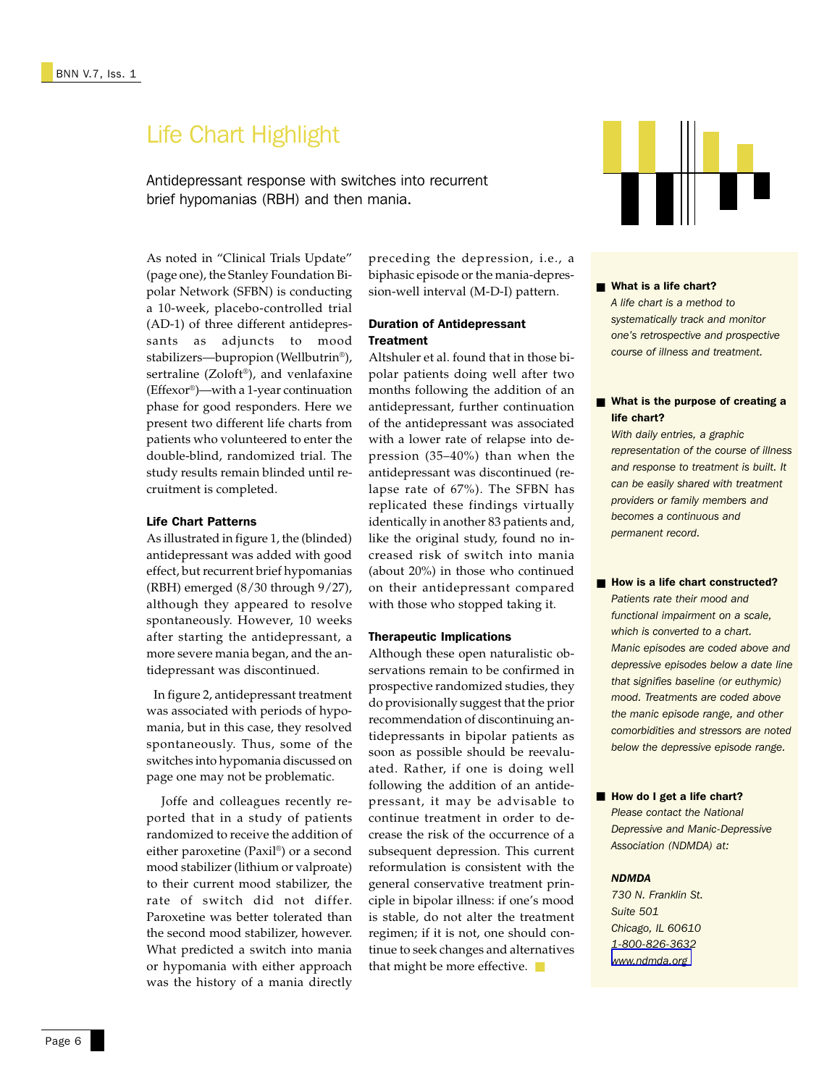# Life Chart Highlight

Antidepressant response with switches into recurrent brief hypomanias (RBH) and then mania.

As noted in "Clinical Trials Update" (page one), the Stanley Foundation Bipolar Network (SFBN) is conducting a 10-week, placebo-controlled trial (AD-1) of three different antidepressants as adjuncts to mood stabilizers—bupropion (Wellbutrin®), sertraline (Zoloft®), and venlafaxine (Effexor®)—with a 1-year continuation phase for good responders. Here we present two different life charts from patients who volunteered to enter the double-blind, randomized trial. The study results remain blinded until recruitment is completed.

### Life Chart Patterns

As illustrated in figure 1, the (blinded) antidepressant was added with good effect, but recurrent brief hypomanias (RBH) emerged (8/30 through 9/27), although they appeared to resolve spontaneously. However, 10 weeks after starting the antidepressant, a more severe mania began, and the antidepressant was discontinued.

 In figure 2, antidepressant treatment was associated with periods of hypomania, but in this case, they resolved spontaneously. Thus, some of the switches into hypomania discussed on page one may not be problematic.

 Joffe and colleagues recently reported that in a study of patients randomized to receive the addition of either paroxetine (Paxil®) or a second mood stabilizer (lithium or valproate) to their current mood stabilizer, the rate of switch did not differ. Paroxetine was better tolerated than the second mood stabilizer, however. What predicted a switch into mania or hypomania with either approach was the history of a mania directly

preceding the depression, i.e., a biphasic episode or the mania-depression-well interval (M-D-I) pattern.

### Duration of Antidepressant **Treatment**

Altshuler et al. found that in those bipolar patients doing well after two months following the addition of an antidepressant, further continuation of the antidepressant was associated with a lower rate of relapse into depression (35–40%) than when the antidepressant was discontinued (relapse rate of 67%). The SFBN has replicated these findings virtually identically in another 83 patients and, like the original study, found no increased risk of switch into mania (about 20%) in those who continued on their antidepressant compared with those who stopped taking it.

### Therapeutic Implications

Although these open naturalistic observations remain to be confirmed in prospective randomized studies, they do provisionally suggest that the prior recommendation of discontinuing antidepressants in bipolar patients as soon as possible should be reevaluated. Rather, if one is doing well following the addition of an antidepressant, it may be advisable to continue treatment in order to decrease the risk of the occurrence of a subsequent depression. This current reformulation is consistent with the general conservative treatment principle in bipolar illness: if one's mood is stable, do not alter the treatment regimen; if it is not, one should continue to seek changes and alternatives that might be more effective. ■



■ What is a life chart? *A life chart is a method to systematically track and monitor one's retrospective and prospective course of illness and treatment.*

### ■ What is the purpose of creating a life chart?

*With daily entries, a graphic representation of the course of illness and response to treatment is built. It can be easily shared with treatment providers or family members and becomes a continuous and permanent record.*

■ How is a life chart constructed? *Patients rate their mood and functional impairment on a scale, which is converted to a chart. Manic episodes are coded above and depressive episodes below a date line that signifies baseline (or euthymic) mood. Treatments are coded above the manic episode range, and other comorbidities and stressors are noted below the depressive episode range.*

■ How do I get a life chart? *Please contact the National Depressive and Manic-Depressive Association (NDMDA) at:*

### *NDMDA*

*730 N. Franklin St. Suite 501 Chicago, IL 60610 1-800-826-3632 [www.ndmda.org](http://www.ndmda.org/)*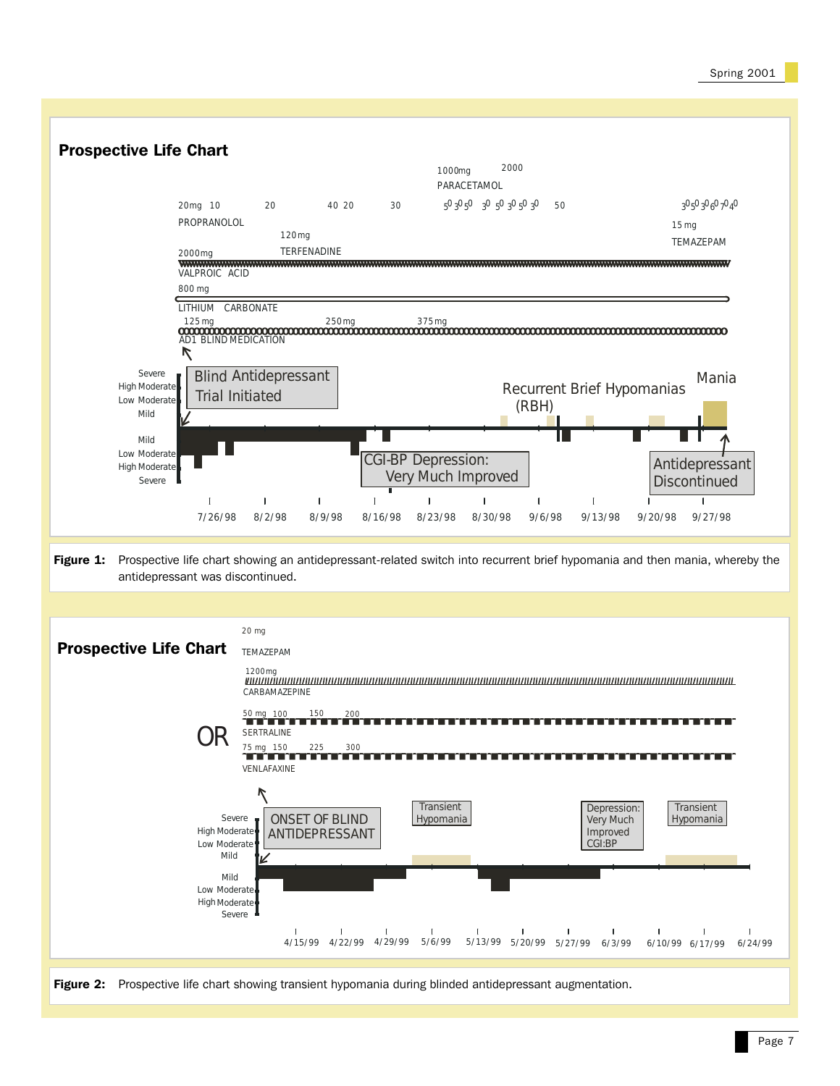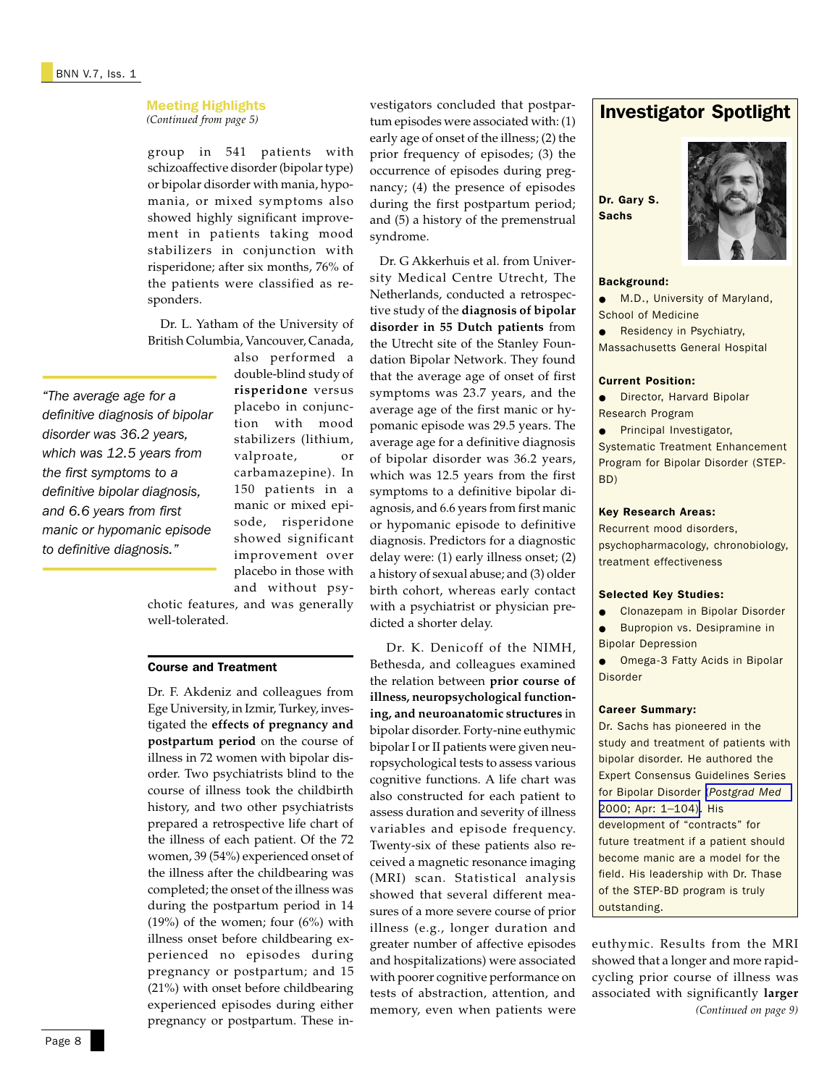*(Continued from page 5)*

group in 541 patients with schizoaffective disorder (bipolar type) or bipolar disorder with mania, hypomania, or mixed symptoms also showed highly significant improvement in patients taking mood stabilizers in conjunction with risperidone; after six months, 76% of the patients were classified as responders.

 Dr. L. Yatham of the University of British Columbia, Vancouver, Canada,

*"The average age for a definitive diagnosis of bipolar disorder was 36.2 years, which was 12.5 years from the first symptoms to a definitive bipolar diagnosis, and 6.6 years from first manic or hypomanic episode to definitive diagnosis."*

also performed a double-blind study of **risperidone** versus placebo in conjunction with mood stabilizers (lithium, valproate, or carbamazepine). In 150 patients in a manic or mixed episode, risperidone showed significant improvement over placebo in those with and without psy-

chotic features, and was generally well-tolerated.

### Course and Treatment

Dr. F. Akdeniz and colleagues from Ege University, in Izmir, Turkey, investigated the **effects of pregnancy and postpartum period** on the course of illness in 72 women with bipolar disorder. Two psychiatrists blind to the course of illness took the childbirth history, and two other psychiatrists prepared a retrospective life chart of the illness of each patient. Of the 72 women, 39 (54%) experienced onset of the illness after the childbearing was completed; the onset of the illness was during the postpartum period in 14  $(19%)$  of the women; four  $(6%)$  with illness onset before childbearing experienced no episodes during pregnancy or postpartum; and 15 (21%) with onset before childbearing experienced episodes during either pregnancy or postpartum. These investigators concluded that postpartum episodes were associated with: (1) early age of onset of the illness; (2) the prior frequency of episodes; (3) the occurrence of episodes during pregnancy; (4) the presence of episodes during the first postpartum period; and (5) a history of the premenstrual syndrome.

 Dr. G Akkerhuis et al. from University Medical Centre Utrecht, The Netherlands, conducted a retrospective study of the **diagnosis of bipolar disorder in 55 Dutch patients** from the Utrecht site of the Stanley Foundation Bipolar Network. They found that the average age of onset of first symptoms was 23.7 years, and the average age of the first manic or hypomanic episode was 29.5 years. The average age for a definitive diagnosis of bipolar disorder was 36.2 years, which was 12.5 years from the first symptoms to a definitive bipolar diagnosis, and 6.6 years from first manic or hypomanic episode to definitive diagnosis. Predictors for a diagnostic delay were: (1) early illness onset; (2) a history of sexual abuse; and (3) older birth cohort, whereas early contact with a psychiatrist or physician predicted a shorter delay.

 Dr. K. Denicoff of the NIMH, Bethesda, and colleagues examined the relation between **prior course of illness, neuropsychological functioning, and neuroanatomic structures** in bipolar disorder. Forty-nine euthymic bipolar I or II patients were given neuropsychological tests to assess various cognitive functions. A life chart was also constructed for each patient to assess duration and severity of illness variables and episode frequency. Twenty-six of these patients also received a magnetic resonance imaging (MRI) scan. Statistical analysis showed that several different measures of a more severe course of prior illness (e.g., longer duration and greater number of affective episodes and hospitalizations) were associated with poorer cognitive performance on tests of abstraction, attention, and memory, even when patients were

# Investigator Spotlight

## Dr. Gary S. **Sachs**



### Background:

● M.D., University of Maryland, School of Medicine

**•** Residency in Psychiatry, Massachusetts General Hospital

### Current Position:

● Director, Harvard Bipolar Research Program

● Principal Investigator,

Systematic Treatment Enhancement Program for Bipolar Disorder (STEP-BD)

### Key Research Areas:

Recurrent mood disorders, psychopharmacology, chronobiology, treatment effectiveness

### Selected Key Studies:

- **Clonazepam in Bipolar Disorder**
- Bupropion vs. Desipramine in Bipolar Depression

● Omega-3 Fatty Acids in Bipolar Disorder

### Career Summary:

Dr. Sachs has pioneered in the study and treatment of patients with bipolar disorder. He authored the Expert Consensus Guidelines Series for Bipolar Disorder (*[Postgrad Med](http://www.ncbi.nlm.nih.gov/entrez/query.fcgi?cmd=Retrieve&db=PubMed&list_uids=10895797&dopt=Abstract)* [2000; Apr: 1–104\)](http://www.ncbi.nlm.nih.gov/entrez/query.fcgi?cmd=Retrieve&db=PubMed&list_uids=10895797&dopt=Abstract). His development of "contracts" for future treatment if a patient should become manic are a model for the field. His leadership with Dr. Thase of the STEP-BD program is truly outstanding.

*(Continued on page 9)* euthymic. Results from the MRI showed that a longer and more rapidcycling prior course of illness was associated with significantly **larger**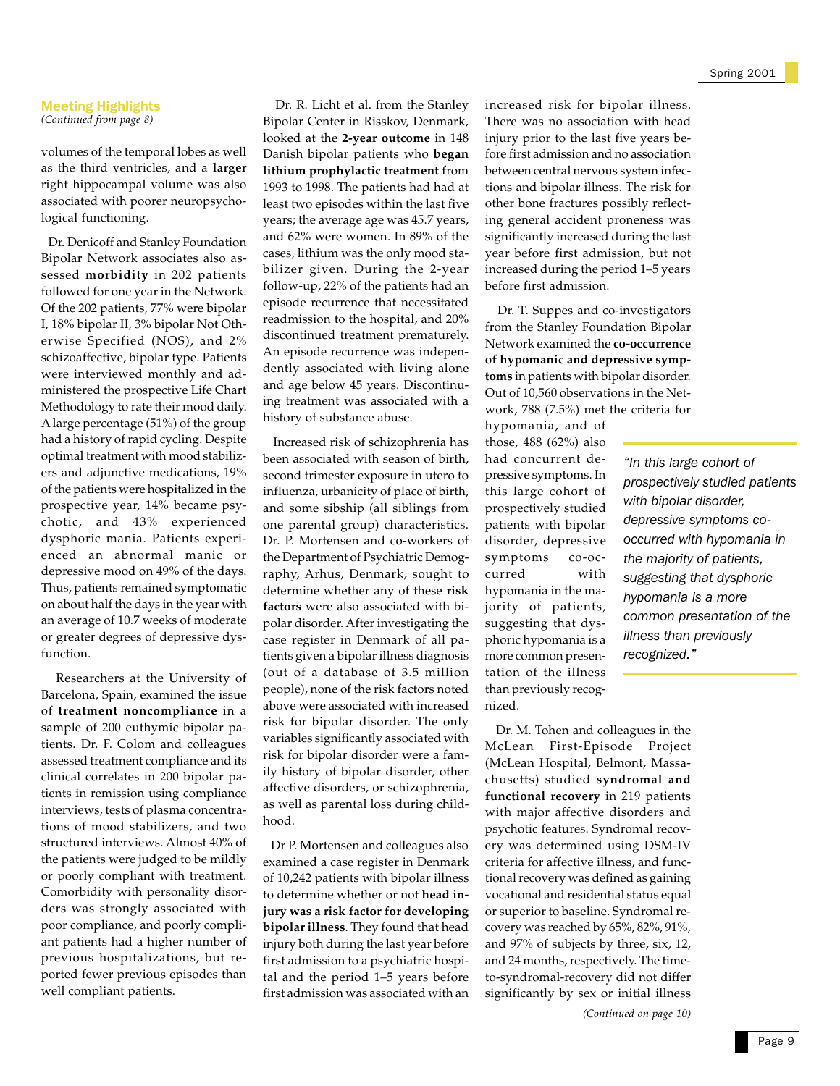### Meeting Highlights *(Continued from page 8)*

volumes of the temporal lobes as well as the third ventricles, and a **larger** right hippocampal volume was also associated with poorer neuropsychological functioning.

 Dr. Denicoff and Stanley Foundation Bipolar Network associates also assessed **morbidity** in 202 patients followed for one year in the Network. Of the 202 patients, 77% were bipolar I, 18% bipolar II, 3% bipolar Not Otherwise Specified (NOS), and 2% schizoaffective, bipolar type. Patients were interviewed monthly and administered the prospective Life Chart Methodology to rate their mood daily. A large percentage (51%) of the group had a history of rapid cycling. Despite optimal treatment with mood stabilizers and adjunctive medications, 19% of the patients were hospitalized in the prospective year, 14% became psychotic, and 43% experienced dysphoric mania. Patients experienced an abnormal manic or depressive mood on 49% of the days. Thus, patients remained symptomatic on about half the days in the year with an average of 10.7 weeks of moderate or greater degrees of depressive dysfunction.

 Researchers at the University of Barcelona, Spain, examined the issue of **treatment noncompliance** in a sample of 200 euthymic bipolar patients. Dr. F. Colom and colleagues assessed treatment compliance and its clinical correlates in 200 bipolar patients in remission using compliance interviews, tests of plasma concentrations of mood stabilizers, and two structured interviews. Almost 40% of the patients were judged to be mildly or poorly compliant with treatment. Comorbidity with personality disorders was strongly associated with poor compliance, and poorly compliant patients had a higher number of previous hospitalizations, but reported fewer previous episodes than well compliant patients.

 Dr. R. Licht et al. from the Stanley Bipolar Center in Risskov, Denmark, looked at the **2-year outcome** in 148 Danish bipolar patients who **began lithium prophylactic treatment** from 1993 to 1998. The patients had had at least two episodes within the last five years; the average age was 45.7 years, and 62% were women. In 89% of the cases, lithium was the only mood stabilizer given. During the 2-year follow-up, 22% of the patients had an episode recurrence that necessitated readmission to the hospital, and 20% discontinued treatment prematurely. An episode recurrence was independently associated with living alone and age below 45 years. Discontinuing treatment was associated with a history of substance abuse.

 Increased risk of schizophrenia has been associated with season of birth, second trimester exposure in utero to influenza, urbanicity of place of birth, and some sibship (all siblings from one parental group) characteristics. Dr. P. Mortensen and co-workers of the Department of Psychiatric Demography, Arhus, Denmark, sought to determine whether any of these **risk factors** were also associated with bipolar disorder. After investigating the case register in Denmark of all patients given a bipolar illness diagnosis (out of a database of 3.5 million people), none of the risk factors noted above were associated with increased risk for bipolar disorder. The only variables significantly associated with risk for bipolar disorder were a family history of bipolar disorder, other affective disorders, or schizophrenia, as well as parental loss during childhood.

 Dr P. Mortensen and colleagues also examined a case register in Denmark of 10,242 patients with bipolar illness to determine whether or not **head injury was a risk factor for developing bipolar illness**. They found that head injury both during the last year before first admission to a psychiatric hospital and the period 1–5 years before first admission was associated with an increased risk for bipolar illness. There was no association with head injury prior to the last five years before first admission and no association between central nervous system infections and bipolar illness. The risk for other bone fractures possibly reflecting general accident proneness was significantly increased during the last year before first admission, but not increased during the period 1–5 years before first admission.

 Dr. T. Suppes and co-investigators from the Stanley Foundation Bipolar Network examined the **co-occurrence of hypomanic and depressive symptoms** in patients with bipolar disorder. Out of 10,560 observations in the Network, 788 (7.5%) met the criteria for

hypomania, and of those, 488 (62%) also had concurrent depressive symptoms. In this large cohort of prospectively studied patients with bipolar disorder, depressive symptoms co-occurred with hypomania in the majority of patients, suggesting that dysphoric hypomania is a more common presentation of the illness than previously recognized.

*"In this large cohort of prospectively studied patients with bipolar disorder, depressive symptoms cooccurred with hypomania in the majority of patients, suggesting that dysphoric hypomania is a more common presentation of the illness than previously recognized."*

 Dr. M. Tohen and colleagues in the McLean First-Episode Project (McLean Hospital, Belmont, Massachusetts) studied **syndromal and functional recovery** in 219 patients with major affective disorders and psychotic features. Syndromal recovery was determined using DSM-IV criteria for affective illness, and functional recovery was defined as gaining vocational and residential status equal or superior to baseline. Syndromal recovery was reached by 65%, 82%, 91%, and 97% of subjects by three, six, 12, and 24 months, respectively. The timeto-syndromal-recovery did not differ significantly by sex or initial illness *(Continued on page 10)*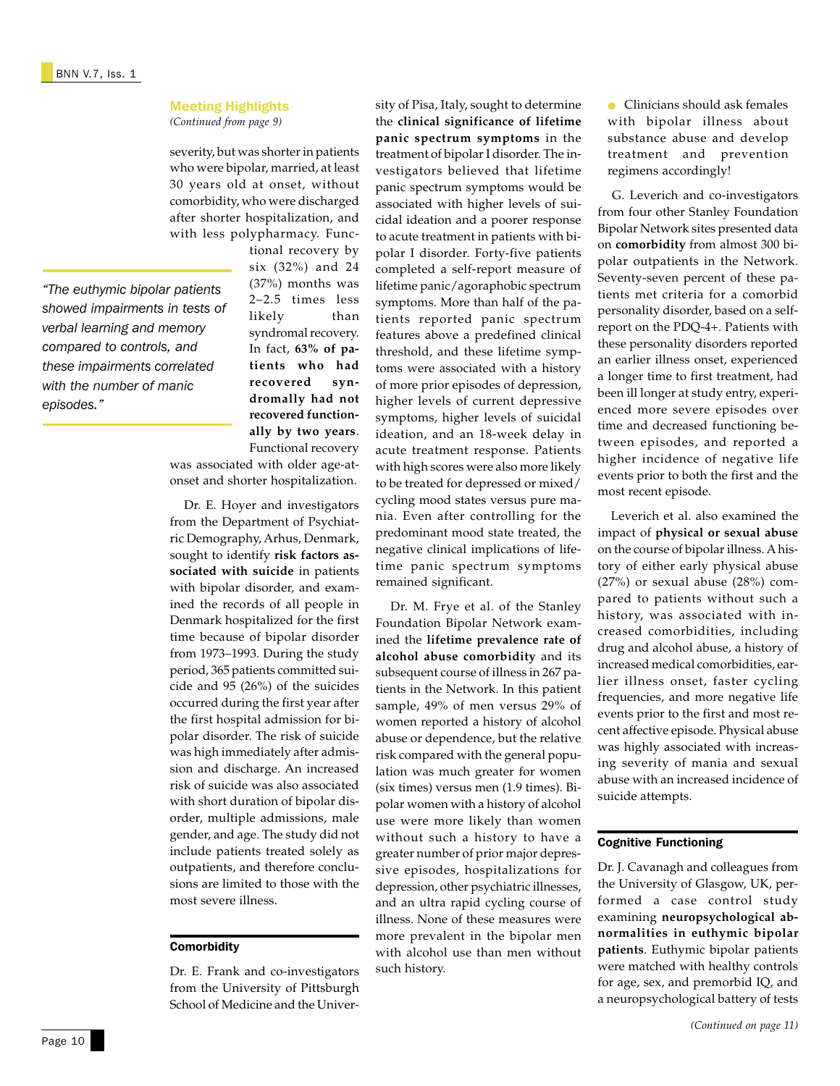*(Continued from page 9)*

severity, but was shorter in patients who were bipolar, married, at least 30 years old at onset, without comorbidity, who were discharged after shorter hospitalization, and with less polypharmacy. Func-

*"The euthymic bipolar patients showed impairments in tests of verbal learning and memory compared to controls, and these impairments correlated with the number of manic episodes."*

tional recovery by six (32%) and 24 (37%) months was 2–2.5 times less likely than syndromal recovery. In fact, **63% of patients who had recovered syndromally had not recovered functionally by two years**. Functional recovery

was associated with older age-atonset and shorter hospitalization.

 Dr. E. Hoyer and investigators from the Department of Psychiatric Demography, Arhus, Denmark, sought to identify **risk factors associated with suicide** in patients with bipolar disorder, and examined the records of all people in Denmark hospitalized for the first time because of bipolar disorder from 1973–1993. During the study period, 365 patients committed suicide and 95 (26%) of the suicides occurred during the first year after the first hospital admission for bipolar disorder. The risk of suicide was high immediately after admission and discharge. An increased risk of suicide was also associated with short duration of bipolar disorder, multiple admissions, male gender, and age. The study did not include patients treated solely as outpatients, and therefore conclusions are limited to those with the most severe illness.

### **Comorbidity**

Dr. E. Frank and co-investigators from the University of Pittsburgh School of Medicine and the University of Pisa, Italy, sought to determine the **clinical significance of lifetime panic spectrum symptoms** in the treatment of bipolar I disorder. The investigators believed that lifetime panic spectrum symptoms would be associated with higher levels of suicidal ideation and a poorer response to acute treatment in patients with bipolar I disorder. Forty-five patients completed a self-report measure of lifetime panic/agoraphobic spectrum symptoms. More than half of the patients reported panic spectrum features above a predefined clinical threshold, and these lifetime symptoms were associated with a history of more prior episodes of depression, higher levels of current depressive symptoms, higher levels of suicidal ideation, and an 18-week delay in acute treatment response. Patients with high scores were also more likely to be treated for depressed or mixed/ cycling mood states versus pure mania. Even after controlling for the predominant mood state treated, the negative clinical implications of lifetime panic spectrum symptoms remained significant.

 Dr. M. Frye et al. of the Stanley Foundation Bipolar Network examined the **lifetime prevalence rate of alcohol abuse comorbidity** and its subsequent course of illness in 267 patients in the Network. In this patient sample, 49% of men versus 29% of women reported a history of alcohol abuse or dependence, but the relative risk compared with the general population was much greater for women (six times) versus men (1.9 times). Bipolar women with a history of alcohol use were more likely than women without such a history to have a greater number of prior major depressive episodes, hospitalizations for depression, other psychiatric illnesses, and an ultra rapid cycling course of illness. None of these measures were more prevalent in the bipolar men with alcohol use than men without such history.

● Clinicians should ask females with bipolar illness about substance abuse and develop treatment and prevention regimens accordingly!

 G. Leverich and co-investigators from four other Stanley Foundation Bipolar Network sites presented data on **comorbidity** from almost 300 bipolar outpatients in the Network. Seventy-seven percent of these patients met criteria for a comorbid personality disorder, based on a selfreport on the PDQ-4+. Patients with these personality disorders reported an earlier illness onset, experienced a longer time to first treatment, had been ill longer at study entry, experienced more severe episodes over time and decreased functioning between episodes, and reported a higher incidence of negative life events prior to both the first and the most recent episode.

 Leverich et al. also examined the impact of **physical or sexual abuse** on the course of bipolar illness. A history of either early physical abuse (27%) or sexual abuse (28%) compared to patients without such a history, was associated with increased comorbidities, including drug and alcohol abuse, a history of increased medical comorbidities, earlier illness onset, faster cycling frequencies, and more negative life events prior to the first and most recent affective episode. Physical abuse was highly associated with increasing severity of mania and sexual abuse with an increased incidence of suicide attempts.

### Cognitive Functioning

Dr. J. Cavanagh and colleagues from the University of Glasgow, UK, performed a case control study examining **neuropsychological abnormalities in euthymic bipolar patients**. Euthymic bipolar patients were matched with healthy controls for age, sex, and premorbid IQ, and a neuropsychological battery of tests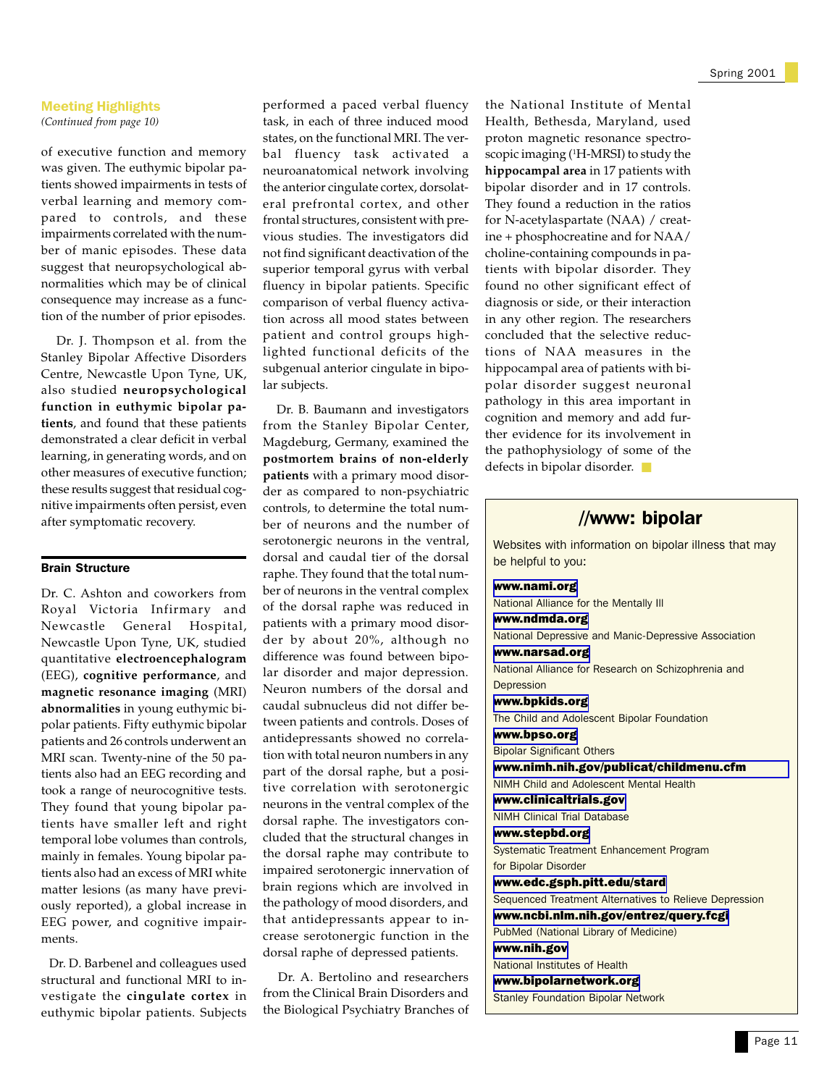*(Continued from page 10)*

of executive function and memory was given. The euthymic bipolar patients showed impairments in tests of verbal learning and memory compared to controls, and these impairments correlated with the number of manic episodes. These data suggest that neuropsychological abnormalities which may be of clinical consequence may increase as a function of the number of prior episodes.

 Dr. J. Thompson et al. from the Stanley Bipolar Affective Disorders Centre, Newcastle Upon Tyne, UK, also studied **neuropsychological function in euthymic bipolar patients**, and found that these patients demonstrated a clear deficit in verbal learning, in generating words, and on other measures of executive function; these results suggest that residual cognitive impairments often persist, even after symptomatic recovery.

### Brain Structure

Dr. C. Ashton and coworkers from Royal Victoria Infirmary and Newcastle General Hospital, Newcastle Upon Tyne, UK, studied quantitative **electroencephalogram** (EEG), **cognitive performance**, and **magnetic resonance imaging** (MRI) **abnormalities** in young euthymic bipolar patients. Fifty euthymic bipolar patients and 26 controls underwent an MRI scan. Twenty-nine of the 50 patients also had an EEG recording and took a range of neurocognitive tests. They found that young bipolar patients have smaller left and right temporal lobe volumes than controls, mainly in females. Young bipolar patients also had an excess of MRI white matter lesions (as many have previously reported), a global increase in EEG power, and cognitive impairments.

 Dr. D. Barbenel and colleagues used structural and functional MRI to investigate the **cingulate cortex** in euthymic bipolar patients. Subjects

performed a paced verbal fluency task, in each of three induced mood states, on the functional MRI. The verbal fluency task activated a neuroanatomical network involving the anterior cingulate cortex, dorsolateral prefrontal cortex, and other frontal structures, consistent with previous studies. The investigators did not find significant deactivation of the superior temporal gyrus with verbal fluency in bipolar patients. Specific comparison of verbal fluency activation across all mood states between patient and control groups highlighted functional deficits of the subgenual anterior cingulate in bipolar subjects.

 Dr. B. Baumann and investigators from the Stanley Bipolar Center, Magdeburg, Germany, examined the **postmortem brains of non-elderly patients** with a primary mood disorder as compared to non-psychiatric controls, to determine the total number of neurons and the number of serotonergic neurons in the ventral, dorsal and caudal tier of the dorsal raphe. They found that the total number of neurons in the ventral complex of the dorsal raphe was reduced in patients with a primary mood disorder by about 20%, although no difference was found between bipolar disorder and major depression. Neuron numbers of the dorsal and caudal subnucleus did not differ between patients and controls. Doses of antidepressants showed no correlation with total neuron numbers in any part of the dorsal raphe, but a positive correlation with serotonergic neurons in the ventral complex of the dorsal raphe. The investigators concluded that the structural changes in the dorsal raphe may contribute to impaired serotonergic innervation of brain regions which are involved in the pathology of mood disorders, and that antidepressants appear to increase serotonergic function in the dorsal raphe of depressed patients.

 Dr. A. Bertolino and researchers from the Clinical Brain Disorders and the Biological Psychiatry Branches of

the National Institute of Mental Health, Bethesda, Maryland, used proton magnetic resonance spectroscopic imaging (1 H-MRSI) to study the **hippocampal area** in 17 patients with bipolar disorder and in 17 controls. They found a reduction in the ratios for N-acetylaspartate (NAA) / creatine + phosphocreatine and for NAA/ choline-containing compounds in patients with bipolar disorder. They found no other significant effect of diagnosis or side, or their interaction in any other region. The researchers concluded that the selective reductions of NAA measures in the hippocampal area of patients with bipolar disorder suggest neuronal pathology in this area important in cognition and memory and add further evidence for its involvement in the pathophysiology of some of the defects in bipolar disorder. ■

## //www: bipolar

Websites with information on bipolar illness that may be helpful to you:

[www.nami.org](http://www.nami.org/)

National Alliance for the Mentally Ill

[www.ndmda.org](http://www.ndmda.org/)

National Depressive and Manic-Depressive Association [www.narsad.org](http://www.narsad.org/) National Alliance for Research on Schizophrenia and

**Depression** 

[www.bpkids.org](http://www.bpkids.org/)

The Child and Adolescent Bipolar Foundation

[www.bpso.org](http://www.bpso.org/)

Bipolar Significant Others

[www.nimh.nih.gov/publicat/childmenu.cfm](http://www.nimh.nih.gov/publicat/childmenu.cfm)

NIMH Child and Adolescent Mental Health

[www.clinicaltrials.gov](http://www.clinicaltrials.gov) NIMH Clinical Trial Database

[www.stepbd.org](http://www.stepbd.org)

Systematic Treatment Enhancement Program

for Bipolar Disorder

[www.edc.gsph.pitt.edu/stard](http://www.edc.gsph.pitt.edu/stard) Sequenced Treatment Alternatives to Relieve Depression

[www.ncbi.nlm.nih.gov/entrez/query.fcgi](http://www.ncbi.nlm.nih.gov/entrez/query.fcgi)

PubMed (National Library of Medicine)

[www.nih.gov](http://www.nih.gov)

National Institutes of Health

[www.bipolarnetwork.org](http://www.bipolarnetwork.org)

Stanley Foundation Bipolar Network